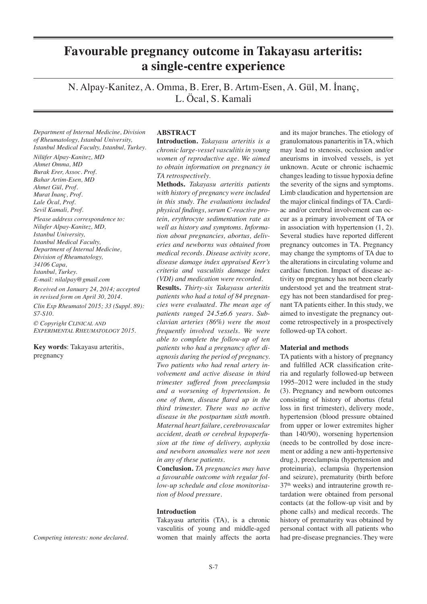# **Favourable pregnancy outcome in Takayasu arteritis: a single-centre experience**

N. Alpay-Kanitez, A. Omma, B. Erer, B. Artım-Esen, A. Gül, M. İnanç, L. Öcal, S. Kamali

*Department of Internal Medicine, Division of Rheumatology, Istanbul University, Istanbul Medical Faculty, Istanbul, Turkey.*

*Nilüfer Alpay-Kanitez, MD Ahmet Omma, MD Burak Erer, Assoc. Prof. Bahar Artim-Esen, MD Ahmet Gül, Prof. Murat İnanç, Prof. Lale Öcal, Prof. Sevil Kamali, Prof.* 

*Please address correspondence to: Nilufer Alpay-Kanitez, MD, Istanbul University, Istanbul Medical Faculty, Department of Internal Medicine, Division of Rheumatology, 34106 Capa, İstanbul, Turkey. E-mail: nilalpay@gmail.com*

*Received on January 24, 2014; accepted in revised form on April 30, 2014. Clin Exp Rheumatol 2015; 33 (Suppl. 89): S7-S10.*

*© Copyright Clinical and Experimental Rheumatology 2015.* 

**Key words**: Takayasu arteritis, pregnancy

*Competing interests: none declared.*

# **ABSTRACT**

**Introduction.** *Takayasu arteritis is a chronic large-vessel vasculitis in young women of reproductive age. We aimed to obtain information on pregnancy in TA retrospectively.*

**Methods.** *Takayasu arteritis patients with history of pregnancy were included in this study. The evaluations included physical findings, serum C-reactive protein, erythrocyte sedimentation rate as well as history and symptoms. Information about pregnancies, abortus, deliveries and newborns was obtained from medical records. Disease activity score, disease damage index appraised Kerr's criteria and vasculitis damage index (VDI) and medication were recorded.*

**Results.** *Thirty-six Takayasu arteritis patients who had a total of 84 pregnancies were evaluated. The mean age of patients ranged 24.5±6.6 years. Subclavian arteries (86%) were the most frequently involved vessels. We were able to complete the follow-up of ten patients who had a pregnancy after diagnosis during the period of pregnancy. Two patients who had renal artery involvement and active disease in third trimester suffered from preeclampsia and a worsening of hypertension. In one of them, disease flared up in the third trimester. There was no active disease in the postpartum sixth month. Maternal heart failure, cerebrovascular accident, death or cerebral hypoperfusion at the time of delivery, asphyxia and newborn anomalies were not seen in any of these patients.* 

**Conclusion.** *TA pregnancies may have a favourable outcome with regular follow-up schedule and close monitorisation of blood pressure.* 

## **Introduction**

Takayasu arteritis (TA), is a chronic vasculitis of young and middle-aged women that mainly affects the aorta

and its major branches. The etiology of granulomatous panarteritis in TA, which may lead to stenosis, occlusion and/or aneurisms in involved vessels, is yet unknown. Acute or chronic ischaemic changes leading to tissue hypoxia define the severity of the signs and symptoms. Limb claudication and hypertension are the major clinical findings of TA. Cardiac and/or cerebral involvement can occur as a primary involvement of TA or in association with hypertension (1, 2). Several studies have reported different pregnancy outcomes in TA. Pregnancy may change the symptoms of TA due to the alterations in circulating volume and cardiac function. Impact of disease activity on pregnancy has not been clearly understood yet and the treatment strategy has not been standardised for pregnant TA patients either. In this study, we aimed to investigate the pregnancy outcome retrospectively in a prospectively followed-up TA cohort.

### **Material and methods**

TA patients with a history of pregnancy and fulfilled ACR classification criteria and regularly followed-up between 1995–2012 were included in the study (3). Pregnancy and newborn outcomes consisting of history of abortus (fetal loss in first trimester), delivery mode, hypertension (blood pressure obtained from upper or lower extremites higher than 140/90), worsening hypertension (needs to be controlled by dose increment or adding a new anti-hypertensive drug.), preeclampsia (hypertension and proteinuria), eclampsia (hypertension and seizure), prematurity (birth before 37<sup>th</sup> weeks) and intrauterine growth retardation were obtained from personal contacts (at the follow-up visit and by phone calls) and medical records. The history of prematurity was obtained by personal contact with all patients who had pre-disease pregnancies. They were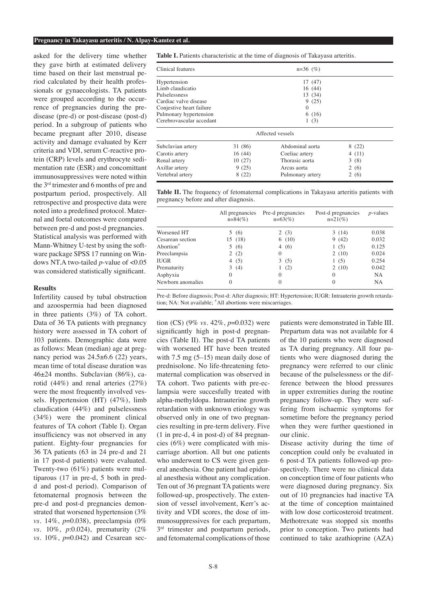#### **Pregnancy in Takayasu arteritis / N. Alpay-Kanıtez et al.**

asked for the delivery time whether they gave birth at estimated delivery time based on their last menstrual period calculated by their health professionals or gynaecologists. TA patients were grouped according to the occurrence of pregnancies during the predisease (pre-d) or post-disease (post-d) period. In a subgroup of patients who became pregnant after 2010, disease activity and damage evaluated by Kerr criteria and VDI, serum C-reactive protein (CRP) levels and erythrocyte sedimentation rate (ESR) and concomittant immunosuppressives were noted within the 3rd trimester and 6 months of pre and postpartum period, prospectively. All retrospective and prospective data were noted into a predefined protocol. Maternal and foetal outcomes were compared between pre-d and post-d pregnancies. Statistical analysis was performed with Mann-Whitney U-test by using the software package SPSS 17 running on Windows NT.A two-tailed *p*-value of <0.05 was considered statistically significant.

# **Results**

Infertility caused by tubal obstruction and azoospermia had been diagnosed in three patients (3%) of TA cohort. Data of 36 TA patients with pregnancy history were assessed in TA cohort of 103 patients. Demographic data were as follows: Mean (median) age at pregnancy period was  $24.5\pm6.6$  (22) years, mean time of total disease duration was 46±24 months. Subclavian (86%), carotid (44%) and renal arteries (27%) were the most frequently involved vessels. Hypertension (HT) (47%), limb claudication (44%) and pulselessness (34%) were the prominent clinical features of TA cohort (Table I). Organ insufficiency was not observed in any patient. Eighty-four pregnancies for 36 TA patients (63 in 24 pre-d and 21 in 17 post-d patients) were evaluated. Twenty-two (61%) patients were multiparous (17 in pre-d, 5 both in predd and post-d period). Comparison of fetomaternal prognosis between the pre-d and post-d pregnancies demonstrated that worsened hypertension (3% *vs*. 14%, *p*=0.038), preeclampsia (0% *vs*. 10%, *p*:0.024), prematurity (2% *vs*. 10%, *p*=0.042) and Cesarean sec**Table I.** Patients characteristic at the time of diagnosis of Takayasu arteritis.

| Clinical features        |         | $n=36$ (%)       |       |  |  |  |  |  |
|--------------------------|---------|------------------|-------|--|--|--|--|--|
| Hypertension             |         | 17 (47)          |       |  |  |  |  |  |
| Limb claudicatio         |         | 16(44)           |       |  |  |  |  |  |
| Pulselessness            |         | 13 (34)          |       |  |  |  |  |  |
| Cardiac valve disease    |         | 9(25)            |       |  |  |  |  |  |
| Conjestive heart failure |         | $\Omega$         |       |  |  |  |  |  |
| Pulmonary hypertension   |         | 6(16)            |       |  |  |  |  |  |
| Cerebrovascular accedant |         | 1(3)             |       |  |  |  |  |  |
|                          |         | Affected vessels |       |  |  |  |  |  |
| Subclavian artery        | 31 (86) | Abdominal aorta  | 8(22) |  |  |  |  |  |
| Carotis artery           | 16 (44) | Coeliac artery   | 4(11) |  |  |  |  |  |
| Renal artery             | 10(27)  | Thorasic aorta   | 3(8)  |  |  |  |  |  |
| Axillar artery           | 9(25)   | Arcus aorta      | 2(6)  |  |  |  |  |  |

**Table II.** The frequency of fetomaternal complications in Takayasu arteritis patients with pregnancy before and after diagnosis.

Vertebral artery 8 (22) Pulmonary artery 2 (6)

|                       | All pregnancies<br>$n = 84$ (%) | Pre-d pregnancies<br>$n=63(%)$ | Post-d pregnancies<br>$n=21\,%)$ | $p$ -values |  |
|-----------------------|---------------------------------|--------------------------------|----------------------------------|-------------|--|
| Worsened HT           | 5(6)                            | 2(3)                           | 3(14)                            | 0.038       |  |
| Cesarean section      | 15 (18)                         | 6(10)                          | 9(42)                            | 0.032       |  |
| Abortion <sup>*</sup> | 5(6)                            | (6)<br>4                       | 1(5)                             | 0.125       |  |
| Preeclampsia          | 2(2)                            | $\Omega$                       | 2(10)                            | 0.024       |  |
| <b>IUGR</b>           | 4 $(5)$                         | 3<br>(5)                       | 1(5)                             | 0.254       |  |
| Prematurity           | (4)<br>3                        | (2)                            | 2(10)                            | 0.042       |  |
| Asphyxia              | $\Omega$                        | $\Omega$                       | $\theta$                         | NA          |  |
| Newborn anomalies     | $\Omega$                        | 0                              | $\Omega$                         | <b>NA</b>   |  |

Pre-d: Before diagnosis; Post-d: After diagnosis; HT: Hypertension; IUGR: Intrauterin growth retardation; NA: Not available; \*All abortions were miscarriages.

tion (CS) (9% *vs*. 42%, *p*=0.032) were significantly high in post-d pregnancies (Table II). The post-d TA patients with worsened HT have been treated with 7.5 mg (5–15) mean daily dose of prednisolone. No life-threatening fetomaternal complication was observed in TA cohort. Two patients with pre-eclampsia were succesfully treated with alpha-methyldopa. Intrauterine growth retardation with unknown etiology was observed only in one of two pregnancies resulting in pre-term delivery. Five (1 in pre-d, 4 in post-d) of 84 pregnancies (6%) were complicated with miscarriage abortion. All but one patients who underwent to CS were given general anesthesia. One patient had epidural anesthesia without any complication. Ten out of 36 pregnant TA patients were followed-up, prospectively. The extension of vessel involvement, Kerr's activity and VDI scores, the dose of immunosuppressives for each prepartum, 3<sup>rd</sup> trimester and postpartum periods, and fetomaternal complications of those patients were demonstrated in Table III. Prepartum data was not available for 4 of the 10 patients who were diagnosed as TA during pregnancy. All four patients who were diagnosed during the pregnancy were referred to our clinic because of the pulselessness or the difference between the blood pressures in upper extremities during the routine pregnancy follow-up. They were suffering from ischaemic symptoms for sometime before the pregnancy period when they were further questioned in our clinic.

Disease activity during the time of conception could only be evaluated in 6 post-d TA patients followed-up prospectively. There were no clinical data on conception time of four patients who were diagnosed during pregnancy. Six out of 10 pregnancies had inactive TA at the time of conception maintained with low dose corticosteroid treatment. Methotrexate was stopped six months prior to conception. Two patients had continued to take azathioprine (AZA)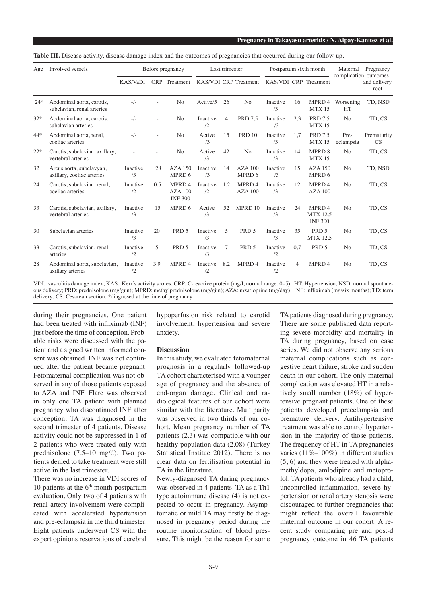|  |  | <b>Table III.</b> Disease activity, disease damage index and the outcomes of pregnancies that occurred during our follow-up. |  |
|--|--|------------------------------------------------------------------------------------------------------------------------------|--|
|  |  |                                                                                                                              |  |

| Age   | Involved vessels                                        | Before pregnancy |     | Last trimester                       |                        | Postpartum sixth month |                       |                | Maternal<br>Pregnancy<br>complication outcomes |                                             |                        |                      |
|-------|---------------------------------------------------------|------------------|-----|--------------------------------------|------------------------|------------------------|-----------------------|----------------|------------------------------------------------|---------------------------------------------|------------------------|----------------------|
|       |                                                         | <b>KAS/VaDI</b>  |     | CRP Treatment                        |                        |                        | KAS/VDI CRP Treatment |                |                                                | KAS/VDI CRP Treatment                       |                        | and delivery<br>root |
| $24*$ | Abdominal aorta, carotis,<br>subclavian, renal arteries | $-/-$            |     | N <sub>o</sub>                       | Active/5               | 26                     | N <sub>o</sub>        | Inactive<br>/3 | 16                                             | MPRD 4<br>MTX 15                            | Worsening<br><b>HT</b> | TD, NSD              |
| $32*$ | Abdominal aorta, carotis,<br>subclavian arteries        | $-/-$            |     | N <sub>o</sub>                       | Inactive<br>$\sqrt{2}$ | 4                      | <b>PRD 7.5</b>        | Inactive<br>/3 | 2.3                                            | <b>PRD 7.5</b><br>MTX 15                    | N <sub>o</sub>         | TD, CS               |
| 44*   | Abdominal aorta, renal,<br>coeliac arteries             | $-/-$            |     | N <sub>o</sub>                       | Active<br>/3           | 15                     | <b>PRD 10</b>         | Inactive<br>/3 | 1.7                                            | <b>PRD 7.5</b><br><b>MTX15</b>              | Pre-<br>eclampsia      | Prematurity<br>CS    |
| $22*$ | Carotis, subclavian, axillary,<br>vertebral arteries    |                  |     | N <sub>o</sub>                       | Active<br>/3           | 42                     | N <sub>o</sub>        | Inactive<br>/3 | 14                                             | MPRD 8<br><b>MTX15</b>                      | N <sub>o</sub>         | TD, CS               |
| 32    | Arcus aorta, subclavyan,<br>axillary, coeliac arteries  | Inactive<br>/3   | 28  | AZA 150<br>MPRD 6                    | Inactive<br>/3         | 14                     | $AZA$ 100<br>MPRD 6   | Inactive<br>/3 | 15                                             | <b>AZA 150</b><br>MPRD 6                    | N <sub>o</sub>         | TD, NSD              |
| 24    | Carotis, subclavian, renal,<br>coeliac arteries         | Inactive<br>/2   | 0.5 | MPRD 4<br>$AZA$ 100<br><b>INF300</b> | Inactive<br>/2         | 1.2                    | MPRD 4<br>AZA100      | Inactive<br>/3 | 12                                             | MPRD 4<br>AZA100                            | N <sub>o</sub>         | TD, CS               |
| 33    | Carotis, subclavian, axillary,<br>vertebral arteries    | Inactive<br>/3   | 15  | MPRD 6                               | Active<br>/3           | 52                     | MPRD 10               | Inactive<br>/3 | 24                                             | MPRD 4<br><b>MTX 12.5</b><br><b>INF 300</b> | N <sub>o</sub>         | TD, CS               |
| 30    | Subclavian arteries                                     | Inactive<br>/3   | 20  | PRD 5                                | Inactive<br>/3         | 5                      | PRD 5                 | Inactive<br>/3 | 35                                             | PRD 5<br><b>MTX 12.5</b>                    | N <sub>o</sub>         | TD, CS               |
| 33    | Carotis, subclavian, renal<br>arteries                  | Inactive<br>/2   | 5   | PRD 5                                | Inactive<br>/3         | 7                      | PRD 5                 | Inactive<br>/2 | 0.7                                            | PRD 5                                       | N <sub>o</sub>         | TD, CS               |
| 28    | Abdominal aorta, subclavian,<br>axillary arteries       | Inactive<br>/2   | 3.9 | MPRD 4                               | Inactive<br>12         | 8.2                    | MPRD 4                | Inactive<br>/2 | 4                                              | MPR <sub>D</sub> 4                          | N <sub>o</sub>         | TD, CS               |

VDI: vasculitis damage index; KAS: Kerr's activity scores; CRP: C-reactive protein (mg/l, normal range: 0–5); HT: Hypertension; NSD: normal spontaneous delivery; PRD: prednisolone (mg/gun); MPRD: methylprednisolone (mg/gün); AZA: mzatioprine (mg/day); INF: infliximab (mg/six months); TD: term delivery; CS: Cesarean section; \*diagnosed at the time of pregnancy.

during their pregnancies. One patient had been treated with infliximab (INF) just before the time of conception. Probable risks were discussed with the patient and a signed written informed consent was obtained. INF was not continued after the patient became pregnant. Fetomaternal complication was not observed in any of those patients exposed to AZA and INF. Flare was observed in only one TA patient with planned pregnancy who discontinued INF after conception. TA was diagnosed in the second trimester of 4 patients. Disease activity could not be suppressed in 1 of 2 patients who were treated only with prednisolone (7.5–10 mg/d). Two patients denied to take treatment were still active in the last trimester.

There was no increase in VDI scores of 10 patients at the  $6<sup>th</sup>$  month postpartum evaluation. Only two of 4 patients with renal artery involvement were complicated with accelerated hypertension and pre-eclampsia in the third trimester. Eight patients underwent CS with the expert opinions reservations of cerebral

hypoperfusion risk related to carotid involvement, hypertension and severe anxiety.

#### **Discussion**

In this study, we evaluated fetomaternal prognosis in a regularly followed-up TA cohort characterised with a younger age of pregnancy and the absence of end-organ damage. Clinical and radiological features of our cohort were similar with the literature. Multiparity was observed in two thirds of our cohort. Mean pregnancy number of TA patients (2.3) was compatible with our healthy population data (2.08) (Turkey Statistical Institue 2012). There is no clear data on fertilisation potential in TA in the literature.

Newly-diagnosed TA during pregnancy was observed in 4 patients. TA as a Th1 type autoimmune disease (4) is not expected to occur in pregnancy. Asymptomatic or mild TA may firstly be diagnosed in pregnancy period during the routine monitorisation of blood pressure. This might be the reason for some TA patients diagnosed during pregnancy. There are some published data reporting severe morbidity and mortality in TA during pregnancy, based on case series. We did not observe any serious maternal complications such as congestive heart failure, stroke and sudden death in our cohort. The only maternal complication was elevated HT in a relatively small number (18%) of hypertensive pregnant patients. One of these patients developed preeclampsia and premature delivery. Antihypertensive treatment was able to control hypertension in the majority of those patients. The frequency of HT in TA pregnancies varies (11%–100%) in different studies (5, 6) and they were treated with alphamethyldopa, amlodipine and metoprolol. TA patients who already had a child, uncontrolled inflammation, severe hypertension or renal artery stenosis were discouraged to further pregnancies that might reflect the overall favourable maternal outcome in our cohort. A recent study comparing pre and post-d pregnancy outcome in 46 TA patients